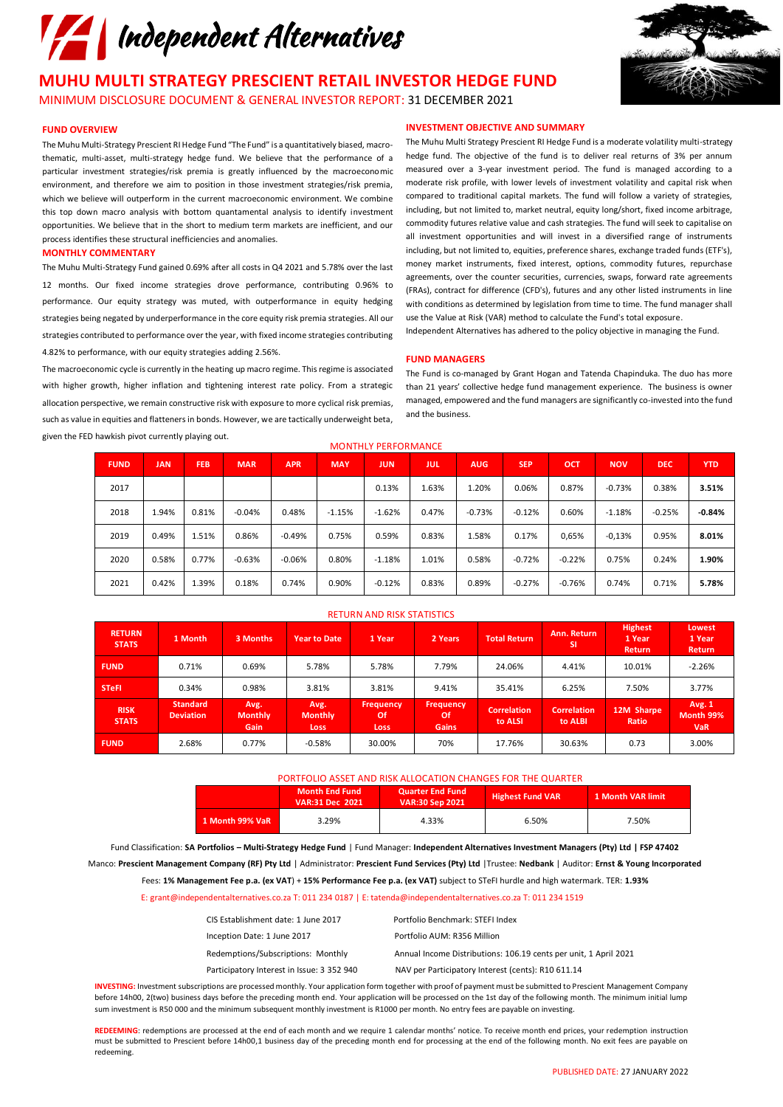

**MUHU MULTI STRATEGY PRESCIENT RETAIL INVESTOR HEDGE FUND** MINIMUM DISCLOSURE DOCUMENT & GENERAL INVESTOR REPORT: 31 DECEMBER 2021

# **FUND OVERVIEW**

The Muhu Multi-Strategy Prescient RI Hedge Fund "The Fund" is a quantitatively biased, macrothematic, multi-asset, multi-strategy hedge fund. We believe that the performance of a particular investment strategies/risk premia is greatly influenced by the macroeconomic environment, and therefore we aim to position in those investment strategies/risk premia, which we believe will outperform in the current macroeconomic environment. We combine this top down macro analysis with bottom quantamental analysis to identify investment opportunities. We believe that in the short to medium term markets are inefficient, and our process identifies these structural inefficiencies and anomalies.

# **MONTHLY COMMENTARY**

The Muhu Multi-Strategy Fund gained 0.69% after all costs in Q4 2021 and 5.78% over the last 12 months. Our fixed income strategies drove performance, contributing 0.96% to performance. Our equity strategy was muted, with outperformance in equity hedging strategies being negated by underperformance in the core equity risk premia strategies. All our strategies contributed to performance over the year, with fixed income strategies contributing 4.82% to performance, with our equity strategies adding 2.56%.

The macroeconomic cycle is currently in the heating up macro regime. This regime is associated with higher growth, higher inflation and tightening interest rate policy. From a strategic allocation perspective, we remain constructive risk with exposure to more cyclical risk premias, such as value in equities and flatteners in bonds. However, we are tactically underweight beta, given the FED hawkish pivot currently playing out.

# **INVESTMENT OBJECTIVE AND SUMMARY**

The Muhu Multi Strategy Prescient RI Hedge Fund is a moderate volatility multi-strategy hedge fund. The objective of the fund is to deliver real returns of 3% per annum measured over a 3-year investment period. The fund is managed according to a moderate risk profile, with lower levels of investment volatility and capital risk when compared to traditional capital markets. The fund will follow a variety of strategies, including, but not limited to, market neutral, equity long/short, fixed income arbitrage, commodity futures relative value and cash strategies. The fund will seek to capitalise on all investment opportunities and will invest in a diversified range of instruments including, but not limited to, equities, preference shares, exchange traded funds (ETF's), money market instruments, fixed interest, options, commodity futures, repurchase agreements, over the counter securities, currencies, swaps, forward rate agreements (FRAs), contract for difference (CFD's), futures and any other listed instruments in line with conditions as determined by legislation from time to time. The fund manager shall use the Value at Risk (VAR) method to calculate the Fund's total exposure.

Independent Alternatives has adhered to the policy objective in managing the Fund.

### **FUND MANAGERS**

The Fund is co-managed by Grant Hogan and Tatenda Chapinduka. The duo has more than 21 years' collective hedge fund management experience. The business is owner managed, empowered and the fund managers are significantly co-invested into the fund and the business.

| <b>FUND</b> | <b>JAN</b> | <b>FEB</b> | <b>MAR</b> | <b>APR</b> | <b>MAY</b> | <b>JUN</b> | JUL   | <b>AUG</b> | <b>SEP</b> | OCT      | <b>NOV</b> | <b>DEC</b> | <b>YTD</b> |
|-------------|------------|------------|------------|------------|------------|------------|-------|------------|------------|----------|------------|------------|------------|
| 2017        |            |            |            |            |            | 0.13%      | 1.63% | 1.20%      | 0.06%      | 0.87%    | $-0.73%$   | 0.38%      | 3.51%      |
| 2018        | 1.94%      | 0.81%      | $-0.04%$   | 0.48%      | $-1.15%$   | $-1.62%$   | 0.47% | $-0.73%$   | $-0.12%$   | 0.60%    | $-1.18%$   | $-0.25%$   | $-0.84%$   |
| 2019        | 0.49%      | 1.51%      | 0.86%      | $-0.49%$   | 0.75%      | 0.59%      | 0.83% | 1.58%      | 0.17%      | 0,65%    | $-0.13%$   | 0.95%      | 8.01%      |
| 2020        | 0.58%      | 0.77%      | $-0.63%$   | $-0.06%$   | 0.80%      | $-1.18%$   | 1.01% | 0.58%      | $-0.72%$   | $-0.22%$ | 0.75%      | 0.24%      | 1.90%      |
| 2021        | 0.42%      | 1.39%      | 0.18%      | 0.74%      | 0.90%      | $-0.12%$   | 0.83% | 0.89%      | $-0.27%$   | $-0.76%$ | 0.74%      | 0.71%      | 5.78%      |
|             |            |            |            |            |            |            |       |            |            |          |            |            |            |

# RETURN AND RISK STATISTICS

MONTHLY PERFORMANCE

| <b>RETURN</b><br><b>STATS</b> | 1 Month                             | 3 Months                       | <b>Year to Date</b>                   | 1 Year                                       | 2 Years                                       | <b>Total Return</b>    | Ann. Return<br><b>SI</b>      | <b>Highest</b><br>1 Year<br><b>Return</b> | Lowest<br>1 Year<br><b>Return</b> |
|-------------------------------|-------------------------------------|--------------------------------|---------------------------------------|----------------------------------------------|-----------------------------------------------|------------------------|-------------------------------|-------------------------------------------|-----------------------------------|
| <b>FUND</b>                   | 0.71%                               | 0.69%                          | 5.78%                                 | 5.78%                                        | 7.79%                                         | 24.06%                 | 4.41%                         | 10.01%                                    | $-2.26%$                          |
| <b>STeFI</b>                  | 0.34%                               | 0.98%                          | 3.81%                                 | 3.81%                                        | 9.41%                                         | 35.41%                 | 6.25%                         | 7.50%                                     | 3.77%                             |
| <b>RISK</b><br><b>STATS</b>   | <b>Standard</b><br><b>Deviation</b> | Avg.<br><b>Monthly</b><br>Gain | Avg.<br><b>Monthly</b><br><b>Loss</b> | <b>Frequency</b><br><b>Of</b><br><b>Loss</b> | <b>Frequency</b><br><b>Of</b><br><b>Gains</b> | Correlation<br>to ALSI | <b>Correlation</b><br>to ALBI | 12M Sharpe<br>Ratio                       | Avg. 1<br>Month 99%<br><b>VaR</b> |
| <b>FUND</b>                   | 2.68%                               | 0.77%                          | $-0.58%$                              | 30.00%                                       | 70%                                           | 17.76%                 | 30.63%                        | 0.73                                      | 3.00%                             |

## PORTFOLIO ASSET AND RISK ALLOCATION CHANGES FOR THE QUARTER

|                 | <b>Month End Fund</b><br>VAR:31 Dec 2021 | <b>Quarter End Fund</b><br><b>VAR:30 Sep 2021</b> | <b>Highest Fund VAR</b> | 1 Month VAR limit |  |
|-----------------|------------------------------------------|---------------------------------------------------|-------------------------|-------------------|--|
| 1 Month 99% VaR | 3.29%                                    | 4.33%                                             | 6.50%                   | 7.50%             |  |

Fund Classification: **SA Portfolios – Multi-Strategy Hedge Fund** | Fund Manager: **Independent Alternatives Investment Managers (Pty) Ltd | FSP 47402**  Manco: **Prescient Management Company (RF) Pty Ltd** | Administrator: **Prescient Fund Services (Pty) Ltd** |Trustee: **Nedbank** | Auditor: **Ernst & Young Incorporated**

Fees: **1% Management Fee p.a. (ex VAT**) + **15% Performance Fee p.a. (ex VAT)** subject to STeFI hurdle and high watermark. TER: **1.93%**

E: grant@independentalternatives.co.za T: 011 234 0187 | E: tatenda@independentalternatives.co.za T: 011 234 1519

| CIS Establishment date: 1 June 2017        | Portfolio Benchmark: STEFI Index                                 |
|--------------------------------------------|------------------------------------------------------------------|
| Inception Date: 1 June 2017                | Portfolio AUM: R356 Million                                      |
| Redemptions/Subscriptions: Monthly         | Annual Income Distributions: 106.19 cents per unit, 1 April 2021 |
| Participatory Interest in Issue: 3 352 940 | NAV per Participatory Interest (cents): R10 611.14               |
|                                            |                                                                  |

**INVESTING:** Investment subscriptions are processed monthly. Your application form together with proof of payment must be submitted to Prescient Management Company before 14h00, 2(two) business days before the preceding month end. Your application will be processed on the 1st day of the following month. The minimum initial lump sum investment is R50 000 and the minimum subsequent monthly investment is R1000 per month. No entry fees are payable on investing.

**REDEEMING**: redemptions are processed at the end of each month and we require 1 calendar months' notice. To receive month end prices, your redemption instruction must be submitted to Prescient before 14h00,1 business day of the preceding month end for processing at the end of the following month. No exit fees are payable on redeeming.

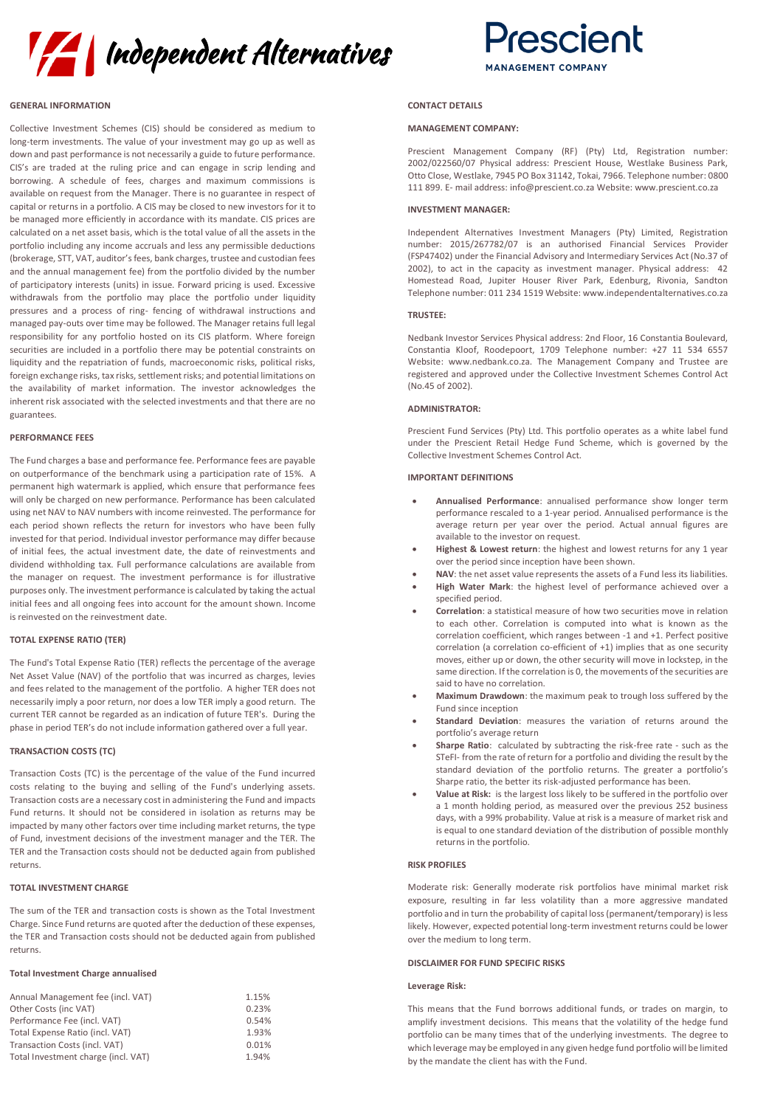



# **GENERAL INFORMATION**

Collective Investment Schemes (CIS) should be considered as medium to long-term investments. The value of your investment may go up as well as down and past performance is not necessarily a guide to future performance. CIS's are traded at the ruling price and can engage in scrip lending and borrowing. A schedule of fees, charges and maximum commissions is available on request from the Manager. There is no guarantee in respect of capital or returns in a portfolio. A CIS may be closed to new investors for it to be managed more efficiently in accordance with its mandate. CIS prices are calculated on a net asset basis, which is the total value of all the assets in the portfolio including any income accruals and less any permissible deductions (brokerage, STT, VAT, auditor's fees, bank charges, trustee and custodian fees and the annual management fee) from the portfolio divided by the number of participatory interests (units) in issue. Forward pricing is used. Excessive withdrawals from the portfolio may place the portfolio under liquidity pressures and a process of ring- fencing of withdrawal instructions and managed pay-outs over time may be followed. The Manager retains full legal responsibility for any portfolio hosted on its CIS platform. Where foreign securities are included in a portfolio there may be potential constraints on liquidity and the repatriation of funds, macroeconomic risks, political risks, foreign exchange risks, tax risks, settlement risks; and potential limitations on the availability of market information. The investor acknowledges the inherent risk associated with the selected investments and that there are no guarantees.

# **PERFORMANCE FEES**

The Fund charges a base and performance fee. Performance fees are payable on outperformance of the benchmark using a participation rate of 15%. A permanent high watermark is applied, which ensure that performance fees will only be charged on new performance. Performance has been calculated using net NAV to NAV numbers with income reinvested. The performance for each period shown reflects the return for investors who have been fully invested for that period. Individual investor performance may differ because of initial fees, the actual investment date, the date of reinvestments and dividend withholding tax. Full performance calculations are available from the manager on request. The investment performance is for illustrative purposes only. The investment performance is calculated by taking the actual initial fees and all ongoing fees into account for the amount shown. Income is reinvested on the reinvestment date.

# **TOTAL EXPENSE RATIO (TER)**

The Fund's Total Expense Ratio (TER) reflects the percentage of the average Net Asset Value (NAV) of the portfolio that was incurred as charges, levies and fees related to the management of the portfolio. A higher TER does not necessarily imply a poor return, nor does a low TER imply a good return. The current TER cannot be regarded as an indication of future TER's. During the phase in period TER's do not include information gathered over a full year.

# **TRANSACTION COSTS (TC)**

Transaction Costs (TC) is the percentage of the value of the Fund incurred costs relating to the buying and selling of the Fund's underlying assets. Transaction costs are a necessary cost in administering the Fund and impacts Fund returns. It should not be considered in isolation as returns may be impacted by many other factors over time including market returns, the type of Fund, investment decisions of the investment manager and the TER. The TER and the Transaction costs should not be deducted again from published returns.

## **TOTAL INVESTMENT CHARGE**

The sum of the TER and transaction costs is shown as the Total Investment Charge. Since Fund returns are quoted after the deduction of these expenses, the TER and Transaction costs should not be deducted again from published returns.

# **Total Investment Charge annualised**

| Annual Management fee (incl. VAT)   | 1.15% |
|-------------------------------------|-------|
| Other Costs (inc VAT)               | 0.23% |
| Performance Fee (incl. VAT)         | 0.54% |
| Total Expense Ratio (incl. VAT)     | 1.93% |
| Transaction Costs (incl. VAT)       | 0.01% |
| Total Investment charge (incl. VAT) | 1.94% |

# **CONTACT DETAILS**

# **MANAGEMENT COMPANY:**

Prescient Management Company (RF) (Pty) Ltd, Registration number: 2002/022560/07 Physical address: Prescient House, Westlake Business Park, Otto Close, Westlake, 7945 PO Box 31142, Tokai, 7966. Telephone number: 0800 111 899. E- mail address: info@prescient.co.za Website: www.prescient.co.za

# **INVESTMENT MANAGER:**

Independent Alternatives Investment Managers (Pty) Limited, Registration number: 2015/267782/07 is an authorised Financial Services Provider (FSP47402) under the Financial Advisory and Intermediary Services Act (No.37 of 2002), to act in the capacity as investment manager. Physical address: 42 Homestead Road, Jupiter Houser River Park, Edenburg, Rivonia, Sandton Telephone number: 011 234 1519 Website: www.independentalternatives.co.za

# **TRUSTEE:**

Nedbank Investor Services Physical address: 2nd Floor, 16 Constantia Boulevard, Constantia Kloof, Roodepoort, 1709 Telephone number: +27 11 534 6557 Website: www.nedbank.co.za. The Management Company and Trustee are registered and approved under the Collective Investment Schemes Control Act (No.45 of 2002).

# **ADMINISTRATOR:**

Prescient Fund Services (Pty) Ltd. This portfolio operates as a white label fund under the Prescient Retail Hedge Fund Scheme, which is governed by the Collective Investment Schemes Control Act.

## **IMPORTANT DEFINITIONS**

- **Annualised Performance**: annualised performance show longer term performance rescaled to a 1-year period. Annualised performance is the average return per year over the period. Actual annual figures are available to the investor on request.
- **Highest & Lowest return**: the highest and lowest returns for any 1 year over the period since inception have been shown.
- **NAV**: the net asset value represents the assets of a Fund less its liabilities. • **High Water Mark**: the highest level of performance achieved over a specified period.
- **Correlation**: a statistical measure of how two securities move in relation to each other. Correlation is computed into what is known as the correlation coefficient, which ranges between -1 and +1. Perfect positive correlation (a correlation co-efficient of +1) implies that as one security moves, either up or down, the other security will move in lockstep, in the same direction. If the correlation is 0, the movements of the securities are said to have no correlation.
- **Maximum Drawdown**: the maximum peak to trough loss suffered by the Fund since inception
- **Standard Deviation**: measures the variation of returns around the portfolio's average return
- **Sharpe Ratio**: calculated by subtracting the risk-free rate such as the STeFI- from the rate of return for a portfolio and dividing the result by the standard deviation of the portfolio returns. The greater a portfolio's Sharpe ratio, the better its risk-adjusted performance has been.
- **Value at Risk:** is the largest loss likely to be suffered in the portfolio over a 1 month holding period, as measured over the previous 252 business days, with a 99% probability. Value at risk is a measure of market risk and is equal to one standard deviation of the distribution of possible monthly returns in the portfolio.

# **RISK PROFILES**

Moderate risk: Generally moderate risk portfolios have minimal market risk exposure, resulting in far less volatility than a more aggressive mandated portfolio and in turn the probability of capital loss (permanent/temporary) is less likely. However, expected potential long-term investment returns could be lower over the medium to long term.

# **DISCLAIMER FOR FUND SPECIFIC RISKS**

# **Leverage Risk:**

This means that the Fund borrows additional funds, or trades on margin, to amplify investment decisions. This means that the volatility of the hedge fund portfolio can be many times that of the underlying investments. The degree to which leverage may be employed in any given hedge fund portfolio will be limited by the mandate the client has with the Fund.